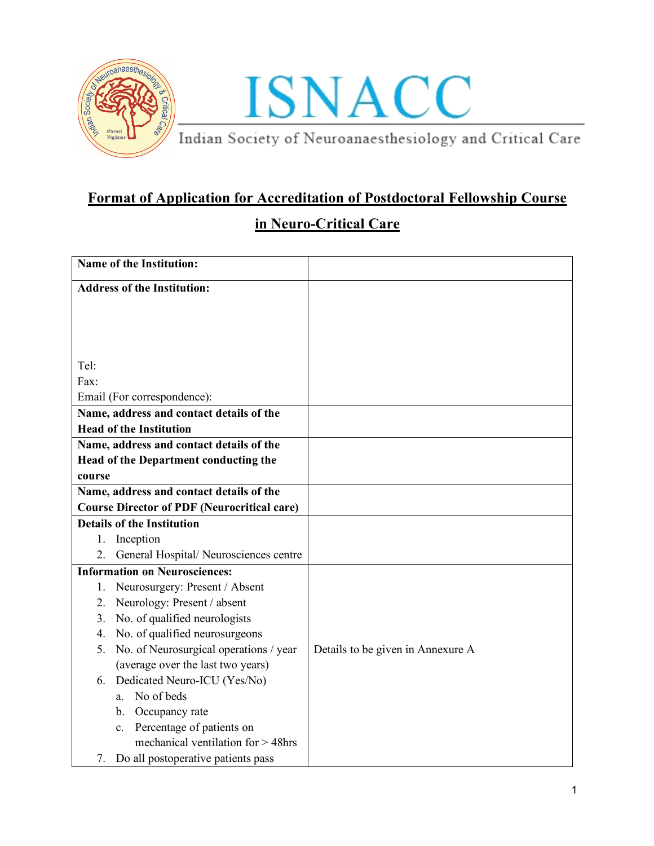



## **Format of Application for Accreditation of Postdoctoral Fellowship Course**

## **in Neuro-Critical Care**

| <b>Name of the Institution:</b>                                         |                                   |
|-------------------------------------------------------------------------|-----------------------------------|
| <b>Address of the Institution:</b>                                      |                                   |
|                                                                         |                                   |
|                                                                         |                                   |
|                                                                         |                                   |
|                                                                         |                                   |
| Tel:<br>Fax:                                                            |                                   |
|                                                                         |                                   |
| Email (For correspondence):<br>Name, address and contact details of the |                                   |
| <b>Head of the Institution</b>                                          |                                   |
| Name, address and contact details of the                                |                                   |
| Head of the Department conducting the                                   |                                   |
| course                                                                  |                                   |
| Name, address and contact details of the                                |                                   |
| <b>Course Director of PDF (Neurocritical care)</b>                      |                                   |
| <b>Details of the Institution</b>                                       |                                   |
| Inception<br>1.                                                         |                                   |
| 2.<br>General Hospital/Neurosciences centre                             |                                   |
| <b>Information on Neurosciences:</b>                                    |                                   |
| Neurosurgery: Present / Absent<br>1.                                    |                                   |
| Neurology: Present / absent<br>2.                                       |                                   |
| No. of qualified neurologists<br>3 <sub>1</sub>                         |                                   |
| No. of qualified neurosurgeons<br>4.                                    |                                   |
| No. of Neurosurgical operations / year<br>5.                            | Details to be given in Annexure A |
| (average over the last two years)                                       |                                   |
| Dedicated Neuro-ICU (Yes/No)<br>6.                                      |                                   |
| No of beds<br>a.                                                        |                                   |
| b. Occupancy rate                                                       |                                   |
| c. Percentage of patients on                                            |                                   |
| mechanical ventilation for $>$ 48hrs                                    |                                   |
| Do all postoperative patients pass<br>7.                                |                                   |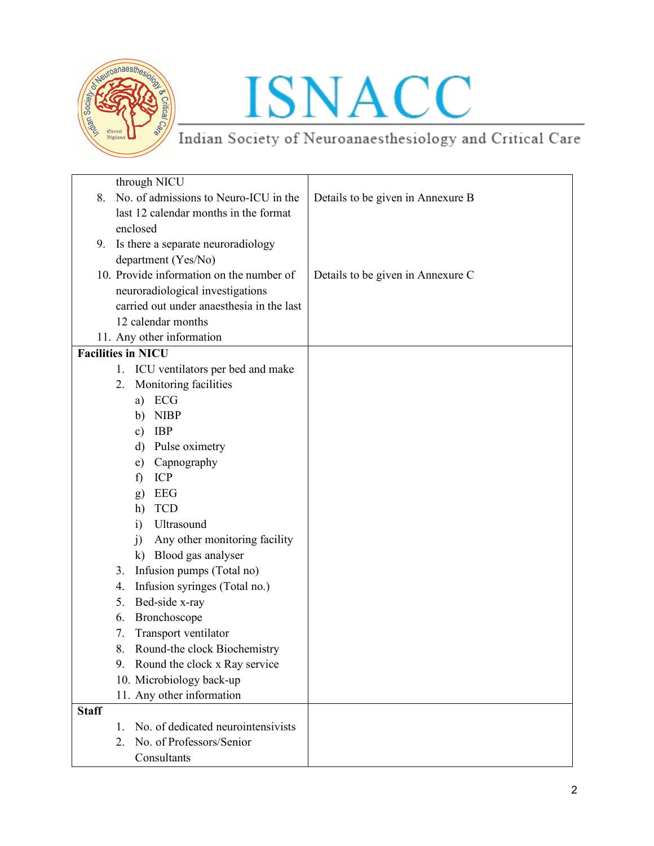

# ISNACC

Indian Society of Neuroanaesthesiology and Critical Care

| through NICU                                  |                                   |
|-----------------------------------------------|-----------------------------------|
| No. of admissions to Neuro-ICU in the<br>8.   | Details to be given in Annexure B |
| last 12 calendar months in the format         |                                   |
| enclosed                                      |                                   |
| Is there a separate neuroradiology<br>9.      |                                   |
| department (Yes/No)                           |                                   |
| 10. Provide information on the number of      | Details to be given in Annexure C |
| neuroradiological investigations              |                                   |
| carried out under anaesthesia in the last     |                                   |
| 12 calendar months                            |                                   |
| 11. Any other information                     |                                   |
| <b>Facilities in NICU</b>                     |                                   |
| ICU ventilators per bed and make<br>1.        |                                   |
| Monitoring facilities<br>2.                   |                                   |
| ECG<br>a)                                     |                                   |
| <b>NIBP</b><br>b)                             |                                   |
| <b>IBP</b><br>$\mathbf{c})$                   |                                   |
| d) Pulse oximetry                             |                                   |
| Capnography<br>e)                             |                                   |
| ICP<br>f)                                     |                                   |
| EEG<br>g)                                     |                                   |
| <b>TCD</b><br>h)                              |                                   |
| Ultrasound<br>$\mathbf{i}$                    |                                   |
| Any other monitoring facility<br>$\mathbf{i}$ |                                   |
| k) Blood gas analyser                         |                                   |
| Infusion pumps (Total no)<br>3.               |                                   |
| Infusion syringes (Total no.)<br>4.           |                                   |
| Bed-side x-ray<br>5.                          |                                   |
| Bronchoscope<br>6.                            |                                   |
| Transport ventilator<br>7.                    |                                   |
| 8.<br>Round-the clock Biochemistry            |                                   |
| Round the clock x Ray service<br>9.           |                                   |
| 10. Microbiology back-up                      |                                   |
| 11. Any other information                     |                                   |
| <b>Staff</b>                                  |                                   |
| No. of dedicated neurointensivists<br>1.      |                                   |
| No. of Professors/Senior<br>2.                |                                   |
| Consultants                                   |                                   |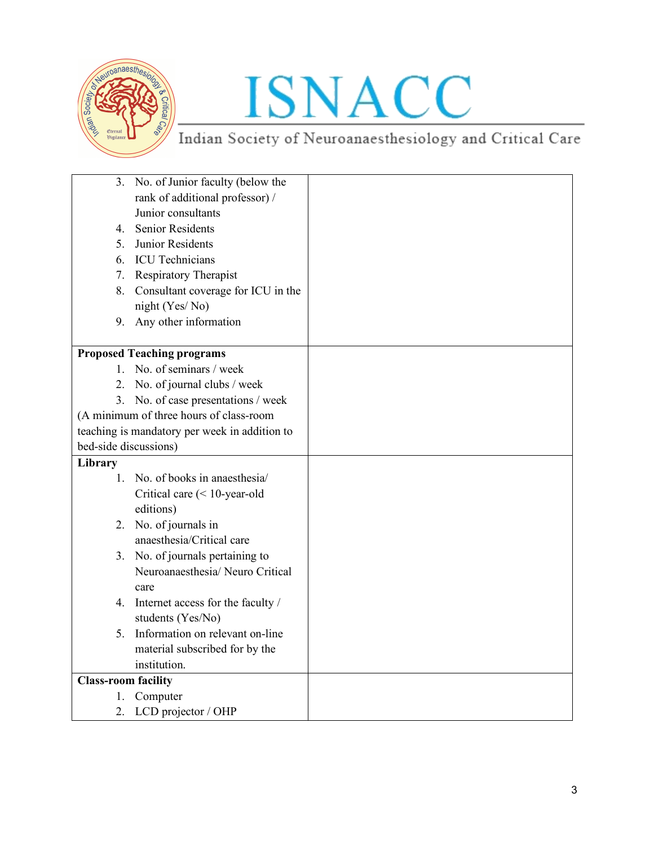

# ISNACC

Indian Society of Neuroanaesthesiology and Critical Care

| 3.                         | No. of Junior faculty (below the              |  |
|----------------------------|-----------------------------------------------|--|
|                            | rank of additional professor) /               |  |
|                            | Junior consultants                            |  |
|                            | 4. Senior Residents                           |  |
| 5.                         | Junior Residents                              |  |
| 6.                         | <b>ICU</b> Technicians                        |  |
| 7.                         | <b>Respiratory Therapist</b>                  |  |
| 8.                         | Consultant coverage for ICU in the            |  |
|                            | night (Yes/No)                                |  |
| 9.                         | Any other information                         |  |
|                            |                                               |  |
|                            | <b>Proposed Teaching programs</b>             |  |
|                            | 1. No. of seminars / week                     |  |
|                            | 2. No. of journal clubs / week                |  |
| 3.                         | No. of case presentations / week              |  |
|                            | (A minimum of three hours of class-room       |  |
|                            | teaching is mandatory per week in addition to |  |
| bed-side discussions)      |                                               |  |
| Library                    |                                               |  |
|                            | 1. No. of books in anaesthesia/               |  |
|                            | Critical care $(< 10$ -year-old               |  |
|                            | editions)                                     |  |
|                            | 2. No. of journals in                         |  |
|                            | anaesthesia/Critical care                     |  |
|                            | 3. No. of journals pertaining to              |  |
|                            | Neuroanaesthesia/ Neuro Critical              |  |
|                            | care                                          |  |
|                            | 4. Internet access for the faculty /          |  |
|                            | students (Yes/No)                             |  |
| 5.                         | Information on relevant on-line               |  |
|                            | material subscribed for by the                |  |
|                            | institution.                                  |  |
| <b>Class-room facility</b> |                                               |  |
| 1.                         | Computer                                      |  |
| 2.                         | LCD projector / OHP                           |  |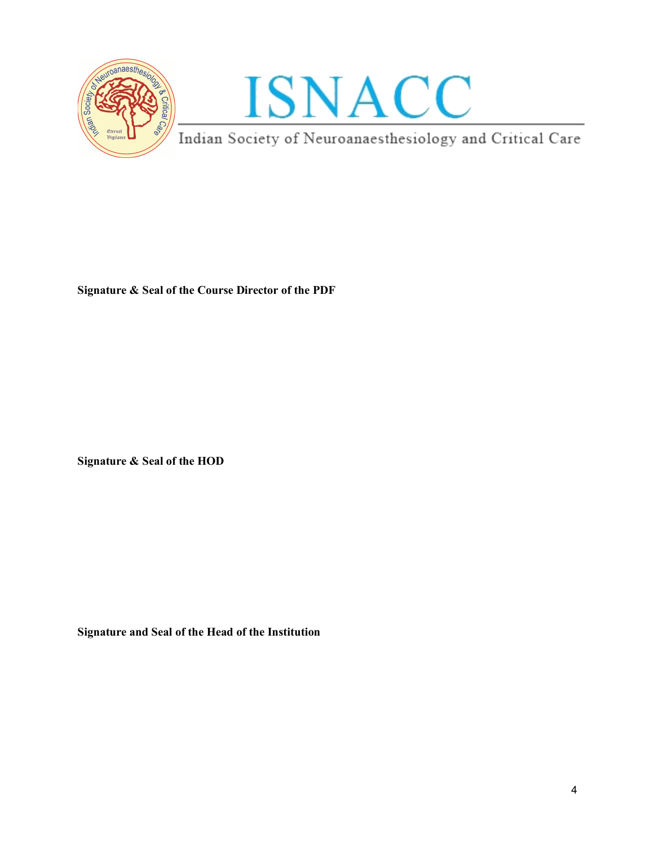



**Signature & Seal of the Course Director of the PDF**

**Signature & Seal of the HOD** 

**Signature and Seal of the Head of the Institution**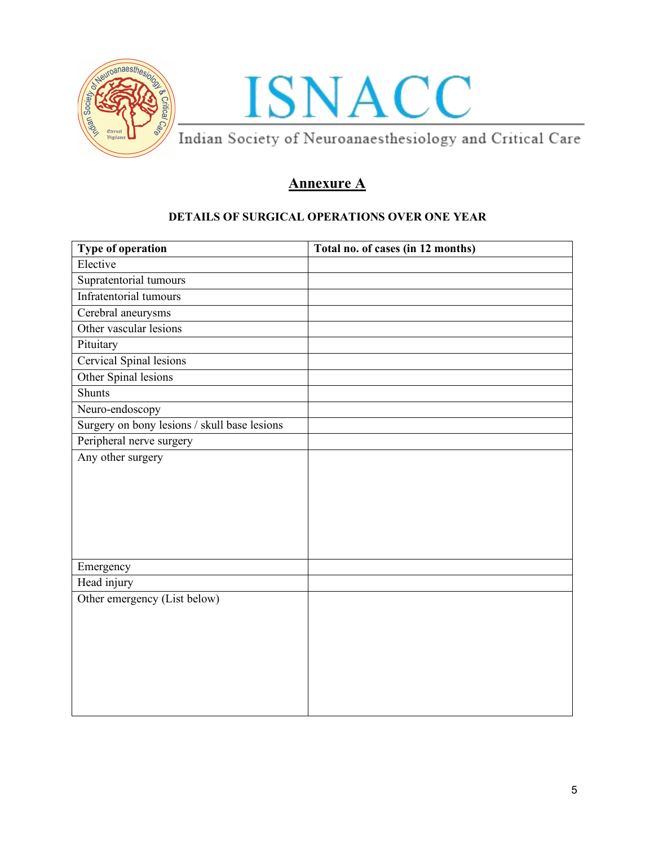



## **Annexure A**

#### **DETAILS OF SURGICAL OPERATIONS OVER ONE YEAR**

| Type of operation                            | Total no. of cases (in 12 months) |
|----------------------------------------------|-----------------------------------|
| Elective                                     |                                   |
| Supratentorial tumours                       |                                   |
| Infratentorial tumours                       |                                   |
| Cerebral aneurysms                           |                                   |
| Other vascular lesions                       |                                   |
| Pituitary                                    |                                   |
| <b>Cervical Spinal lesions</b>               |                                   |
| Other Spinal lesions                         |                                   |
| Shunts                                       |                                   |
| Neuro-endoscopy                              |                                   |
| Surgery on bony lesions / skull base lesions |                                   |
| Peripheral nerve surgery                     |                                   |
| Any other surgery                            |                                   |
|                                              |                                   |
|                                              |                                   |
|                                              |                                   |
|                                              |                                   |
|                                              |                                   |
| Emergency                                    |                                   |
| Head injury                                  |                                   |
| Other emergency (List below)                 |                                   |
|                                              |                                   |
|                                              |                                   |
|                                              |                                   |
|                                              |                                   |
|                                              |                                   |
|                                              |                                   |
|                                              |                                   |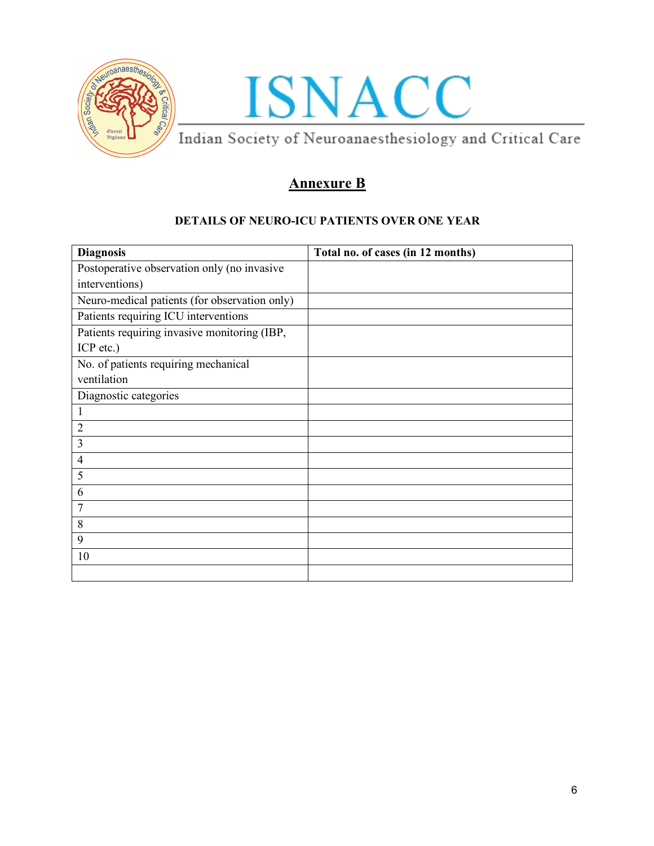



## **Annexure B**

### **DETAILS OF NEURO-ICU PATIENTS OVER ONE YEAR**

| <b>Diagnosis</b>                              | Total no. of cases (in 12 months) |
|-----------------------------------------------|-----------------------------------|
| Postoperative observation only (no invasive   |                                   |
| interventions)                                |                                   |
| Neuro-medical patients (for observation only) |                                   |
| Patients requiring ICU interventions          |                                   |
| Patients requiring invasive monitoring (IBP,  |                                   |
| ICP etc.)                                     |                                   |
| No. of patients requiring mechanical          |                                   |
| ventilation                                   |                                   |
| Diagnostic categories                         |                                   |
|                                               |                                   |
| $\overline{2}$                                |                                   |
| 3                                             |                                   |
| $\overline{4}$                                |                                   |
| 5                                             |                                   |
| 6                                             |                                   |
| 7                                             |                                   |
| 8                                             |                                   |
| 9                                             |                                   |
| 10                                            |                                   |
|                                               |                                   |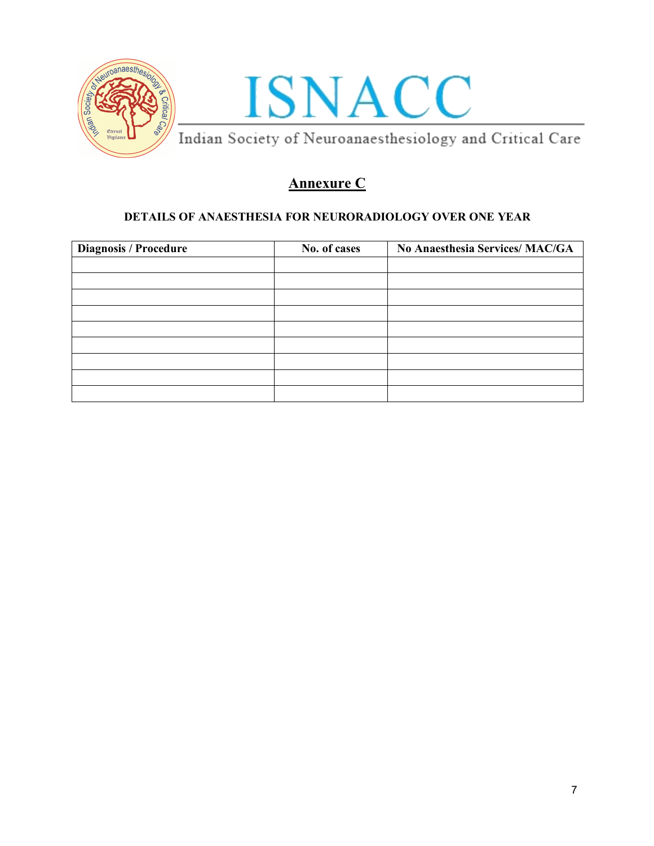



## **Annexure C**

### **DETAILS OF ANAESTHESIA FOR NEURORADIOLOGY OVER ONE YEAR**

| <b>Diagnosis / Procedure</b> | No. of cases | No Anaesthesia Services/ MAC/GA |
|------------------------------|--------------|---------------------------------|
|                              |              |                                 |
|                              |              |                                 |
|                              |              |                                 |
|                              |              |                                 |
|                              |              |                                 |
|                              |              |                                 |
|                              |              |                                 |
|                              |              |                                 |
|                              |              |                                 |